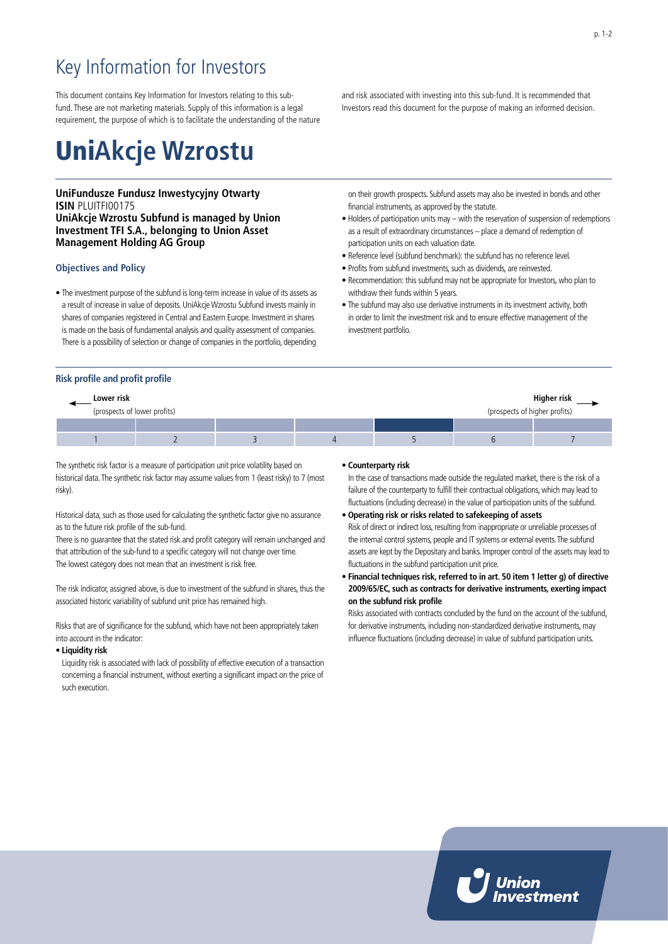# Key Information for Investors

This document contains Key Information for Investors relating to this subfund. These are not marketing materials. Supply of this information is a legal requirement, the purpose of which is to facilitate the understanding of the nature

# Uni**Akcje Wzrostu**

# **UniFundusze Fundusz Inwestycyjny Otwarty ISIN** PLUITFI00175 **UniAkcje Wzrostu Subfund is managed by Union Investment TFI S.A., belonging to Union Asset Management Holding AG Group**

# **Objectives and Policy**

• The investment purpose of the subfund is long-term increase in value of its assets as a result of increase in value of deposits. UniAkcje Wzrostu Subfund invests mainly in shares of companies registered in Central and Eastern Europe. Investment in shares is made on the basis of fundamental analysis and quality assessment of companies. There is a possibility of selection or change of companies in the portfolio, depending

# and risk associated with investing into this sub-fund. It is recommended that Investors read this document for the purpose of making an informed decision.

on their growth prospects. Subfund assets may also be invested in bonds and other financial instruments, as approved by the statute.

- Holders of participation units may with the reservation of suspension of redemptions as a result of extraordinary circumstances – place a demand of redemption of participation units on each valuation date.
- Reference level (subfund benchmark): the subfund has no reference level.
- Profits from subfund investments, such as dividends, are reinvested.
- Recommendation: this subfund may not be appropriate for Investors, who plan to withdraw their funds within 5 years.
- The subfund may also use derivative instruments in its investment activity, both in order to limit the investment risk and to ensure effective management of the investment portfolio.

### **Risk profile and profit profile**

| Higher risk<br>Lower risk                                     |  |  |  |  |  |  |
|---------------------------------------------------------------|--|--|--|--|--|--|
| (prospects of higher profits)<br>(prospects of lower profits) |  |  |  |  |  |  |
|                                                               |  |  |  |  |  |  |
|                                                               |  |  |  |  |  |  |

The synthetic risk factor is a measure of participation unit price volatility based on historical data. The synthetic risk factor may assume values from 1 (least risky) to 7 (most risky).

Historical data, such as those used for calculating the synthetic factor give no assurance as to the future risk profile of the sub-fund.

There is no guarantee that the stated risk and profit category will remain unchanged and that attribution of the sub-fund to a specific category will not change over time. The lowest category does not mean that an investment is risk free.

The risk indicator, assigned above, is due to investment of the subfund in shares, thus the associated historic variability of subfund unit price has remained high.

Risks that are of significance for the subfund, which have not been appropriately taken into account in the indicator:

#### • **Liquidity risk**

Liquidity risk is associated with lack of possibility of effective execution of a transaction concerning a financial instrument, without exerting a significant impact on the price of such execution.

#### • **Counterparty risk**

In the case of transactions made outside the regulated market, there is the risk of a failure of the counterparty to fulfill their contractual obligations, which may lead to fluctuations (including decrease) in the value of participation units of the subfund.

- **Operating risk or risks related to safekeeping of assets** Risk of direct or indirect loss, resulting from inappropriate or unreliable processes of the internal control systems, people and IT systems or external events. The subfund assets are kept by the Depositary and banks. Improper control of the assets may lead to fluctuations in the subfund participation unit price.
- **Financial techniques risk, referred to in art. 50 item 1 letter g) of directive 2009/65/EC, such as contracts for derivative instruments, exerting impact on the subfund risk profile**

Risks associated with contracts concluded by the fund on the account of the subfund, for derivative instruments, including non-standardized derivative instruments, may influence fluctuations (including decrease) in value of subfund participation units.